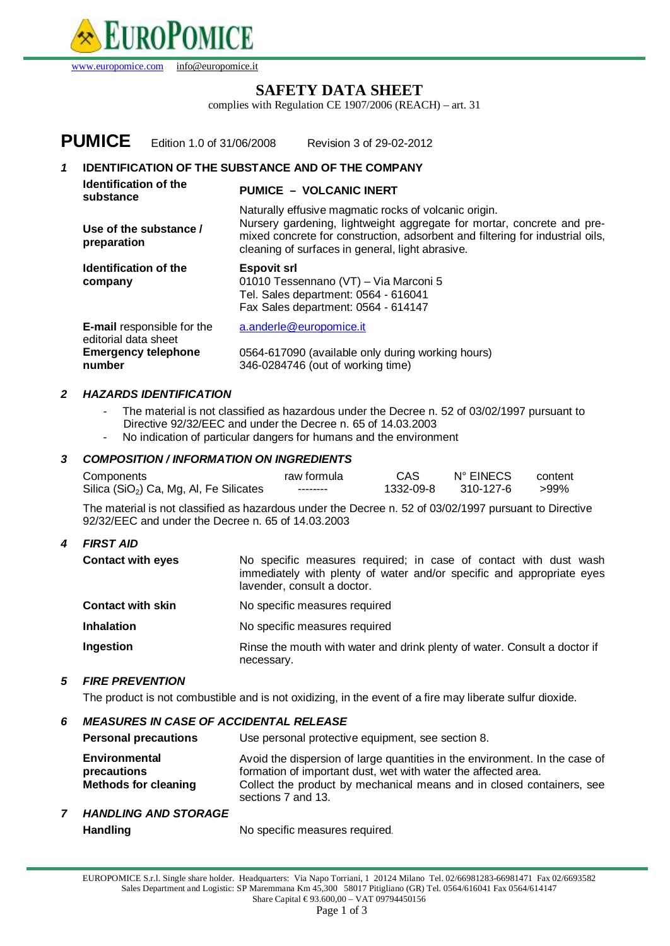

[www.europomice.com](http://www.europomice.com) [info@europomice.it](mailto:info@europomice.it)

## **SAFETY DATA SHEET**

complies with Regulation CE 1907/2006 (REACH) – art. 31

|   | <b>PUMICE</b>                                                               | Edition 1.0 of 31/06/2008         | Revision 3 of 29-02-2012                                                                                                                                                                                                                                             |  |
|---|-----------------------------------------------------------------------------|-----------------------------------|----------------------------------------------------------------------------------------------------------------------------------------------------------------------------------------------------------------------------------------------------------------------|--|
| 1 | <b>IDENTIFICATION OF THE SUBSTANCE AND OF THE COMPANY</b>                   |                                   |                                                                                                                                                                                                                                                                      |  |
|   | Identification of the<br>substance<br>Use of the substance /<br>preparation |                                   | <b>PUMICE - VOLCANIC INERT</b>                                                                                                                                                                                                                                       |  |
|   |                                                                             |                                   | Naturally effusive magmatic rocks of volcanic origin.<br>Nursery gardening, lightweight aggregate for mortar, concrete and pre-<br>mixed concrete for construction, adsorbent and filtering for industrial oils,<br>cleaning of surfaces in general, light abrasive. |  |
|   | Identification of the<br>company                                            |                                   | <b>Espovit srl</b><br>01010 Tessennano (VT) - Via Marconi 5<br>Tel. Sales department: 0564 - 616041<br>Fax Sales department: 0564 - 614147                                                                                                                           |  |
|   | editorial data sheet<br><b>Emergency telephone</b><br>number                | <b>E-mail</b> responsible for the | a.anderle@europomice.it<br>0564-617090 (available only during working hours)<br>346-0284746 (out of working time)                                                                                                                                                    |  |

### *2 HAZARDS IDENTIFICATION*

- The material is not classified as hazardous under the Decree n. 52 of 03/02/1997 pursuant to Directive 92/32/EEC and under the Decree n. 65 of 14.03.2003
- No indication of particular dangers for humans and the environment

#### *3 COMPOSITION / INFORMATION ON INGREDIENTS*

| Components                                          | raw formula | CAS       | N° EINECS | content |
|-----------------------------------------------------|-------------|-----------|-----------|---------|
| Silica (SiO <sub>2</sub> ) Ca, Mg, Al, Fe Silicates | --------    | 1332-09-8 | 310-127-6 | >99%    |

The material is not classified as hazardous under the Decree n. 52 of 03/02/1997 pursuant to Directive 92/32/EEC and under the Decree n. 65 of 14.03.2003

#### *4 FIRST AID*

| <b>Contact with eyes</b> | No specific measures required; in case of contact with dust wash      |
|--------------------------|-----------------------------------------------------------------------|
|                          | immediately with plenty of water and/or specific and appropriate eyes |
|                          | lavender, consult a doctor,                                           |
|                          |                                                                       |

| <b>Contact with skin</b> | No specific measures required |
|--------------------------|-------------------------------|
|--------------------------|-------------------------------|

- **Inhalation** No specific measures required
- **Ingestion Rinse the mouth with water and drink plenty of water. Consult a doctor if** necessary.

### *5 FIRE PREVENTION*

The product is not combustible and is not oxidizing, in the event of a fire may liberate sulfur dioxide.

## *6 MEASURES IN CASE OF ACCIDENTAL RELEASE*

| <b>Personal precautions</b>                                        | Use personal protective equipment, see section 8.                                                                                                                                                                                            |
|--------------------------------------------------------------------|----------------------------------------------------------------------------------------------------------------------------------------------------------------------------------------------------------------------------------------------|
| <b>Environmental</b><br>precautions<br><b>Methods for cleaning</b> | Avoid the dispersion of large quantities in the environment. In the case of<br>formation of important dust, wet with water the affected area.<br>Collect the product by mechanical means and in closed containers, see<br>sections 7 and 13. |

*7 HANDLING AND STORAGE*  Handling **Handling** No specific measures required.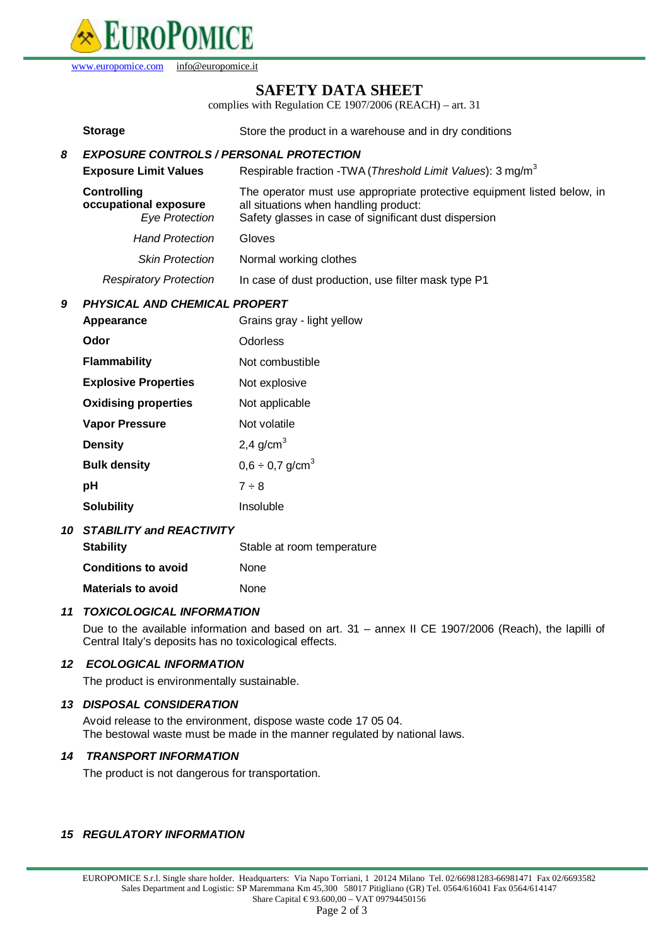

[www.europomice.com](http://www.europomice.com) [info@europomice.it](mailto:info@europomice.it)

## **SAFETY DATA SHEET**

complies with Regulation CE 1907/2006 (REACH) – art. 31

|                                           | <b>Storage</b>                                                       | Store the product in a warehouse and in dry conditions                                                                                                                    |  |
|-------------------------------------------|----------------------------------------------------------------------|---------------------------------------------------------------------------------------------------------------------------------------------------------------------------|--|
| 8                                         | <b>EXPOSURE CONTROLS / PERSONAL PROTECTION</b>                       |                                                                                                                                                                           |  |
|                                           | <b>Exposure Limit Values</b>                                         | Respirable fraction -TWA (Threshold Limit Values): 3 mg/m <sup>3</sup>                                                                                                    |  |
|                                           | <b>Controlling</b><br>occupational exposure<br><b>Eye Protection</b> | The operator must use appropriate protective equipment listed below, in<br>all situations when handling product:<br>Safety glasses in case of significant dust dispersion |  |
|                                           | <b>Hand Protection</b>                                               | Gloves                                                                                                                                                                    |  |
|                                           | <b>Skin Protection</b>                                               | Normal working clothes                                                                                                                                                    |  |
|                                           | <b>Respiratory Protection</b>                                        | In case of dust production, use filter mask type P1                                                                                                                       |  |
| <b>PHYSICAL AND CHEMICAL PROPERT</b><br>9 |                                                                      |                                                                                                                                                                           |  |
|                                           | Appearance                                                           | Grains gray - light yellow                                                                                                                                                |  |
|                                           | Odor                                                                 | Odorless                                                                                                                                                                  |  |
|                                           | <b>Flammability</b>                                                  | Not combustible                                                                                                                                                           |  |
|                                           | <b>Explosive Properties</b>                                          | Not explosive                                                                                                                                                             |  |
|                                           | <b>Oxidising properties</b>                                          | Not applicable                                                                                                                                                            |  |
|                                           | <b>Vapor Pressure</b>                                                | Not volatile                                                                                                                                                              |  |
|                                           | <b>Density</b>                                                       | 2,4 $g/cm3$                                                                                                                                                               |  |
|                                           | <b>Bulk density</b>                                                  | $0,6 \div 0,7$ g/cm <sup>3</sup>                                                                                                                                          |  |
|                                           | pH                                                                   | $7 \div 8$                                                                                                                                                                |  |
|                                           | <b>Solubility</b>                                                    | Insoluble                                                                                                                                                                 |  |
| 10                                        | <b>STABILITY and REACTIVITY</b>                                      |                                                                                                                                                                           |  |
|                                           | <b>Stability</b>                                                     | Stable at room temperature                                                                                                                                                |  |

**Conditions to avoid** None

# **Materials to avoid** None *11 TOXICOLOGICAL INFORMATION*

Due to the available information and based on art. 31 – annex II CE 1907/2006 (Reach), the lapilli of Central Italy's deposits has no toxicological effects.

## *12 ECOLOGICAL INFORMATION*

The product is environmentally sustainable.

#### *13 DISPOSAL CONSIDERATION*

Avoid release to the environment, dispose waste code 17 05 04. The bestowal waste must be made in the manner regulated by national laws.

#### *14 TRANSPORT INFORMATION*

The product is not dangerous for transportation.

#### *15 REGULATORY INFORMATION*